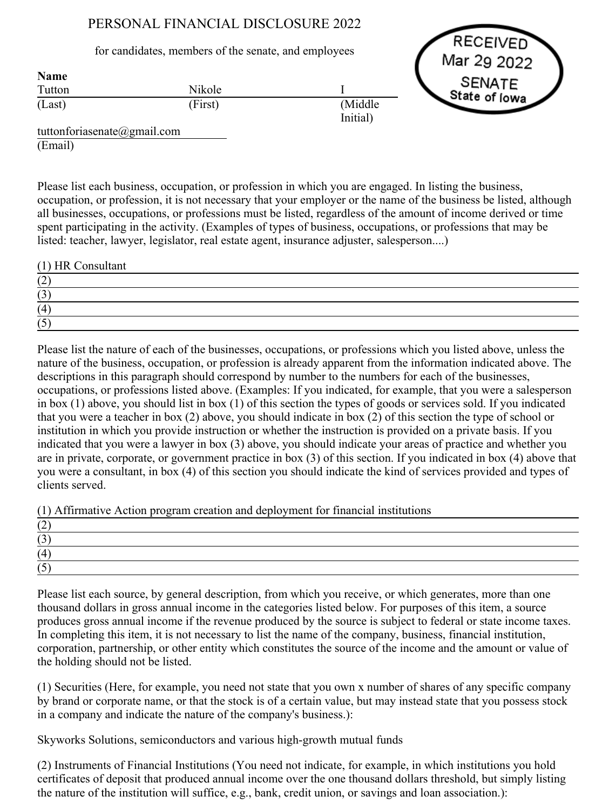## PERSONAL FINANCIAL DISCLOSURE 2022

## for candidates, members of the senate, and employees

Nikole (First)

**RECEIVED** Mar 29 2022 **SENATE** State of Iowa

tuttonforiasenate@gmail.com (Email)

Tutton (Last)

Name

Please list each business, occupation, or profession in which you are engaged. In listing the business, occupation, or profession, it is not necessary that your employer or the name of the business be listed, although all businesses, occupations, or professions must be listed, regardless of the amount of income derived or time spent participating in the activity. (Examples of types of business, occupations, or professions that may be listed: teacher, lawyer, legislator, real estate agent, insurance adjuster, salesperson....)

I

(Middle Initial)

| (1) HR Consultant |  |
|-------------------|--|
| (2)               |  |
| (3)               |  |
| (4)               |  |
| (5)               |  |

Please list the nature of each of the businesses, occupations, or professions which you listed above, unless the nature of the business, occupation, or profession is already apparent from the information indicated above. The descriptions in this paragraph should correspond by number to the numbers for each of the businesses, occupations, or professions listed above. (Examples: If you indicated, for example, that you were a salesperson in box (1) above, you should list in box (1) of this section the types of goods or services sold. If you indicated that you were a teacher in box (2) above, you should indicate in box (2) of this section the type of school or institution in which you provide instruction or whether the instruction is provided on a private basis. If you indicated that you were a lawyer in box (3) above, you should indicate your areas of practice and whether you are in private, corporate, or government practice in box (3) of this section. If you indicated in box (4) above that you were a consultant, in box (4) of this section you should indicate the kind of services provided and types of clients served.

(1) Affirmative Action program creation and deployment for financial institutions

Please list each source, by general description, from which you receive, or which generates, more than one thousand dollars in gross annual income in the categories listed below. For purposes of this item, a source produces gross annual income if the revenue produced by the source is subject to federal or state income taxes. In completing this item, it is not necessary to list the name of the company, business, financial institution, corporation, partnership, or other entity which constitutes the source of the income and the amount or value of the holding should not be listed.

(1) Securities (Here, for example, you need not state that you own x number of shares of any specific company by brand or corporate name, or that the stock is of a certain value, but may instead state that you possess stock in a company and indicate the nature of the company's business.):

Skyworks Solutions, semiconductors and various high-growth mutual funds

(2) Instruments of Financial Institutions (You need not indicate, for example, in which institutions you hold certificates of deposit that produced annual income over the one thousand dollars threshold, but simply listing the nature of the institution will suffice, e.g., bank, credit union, or savings and loan association.):